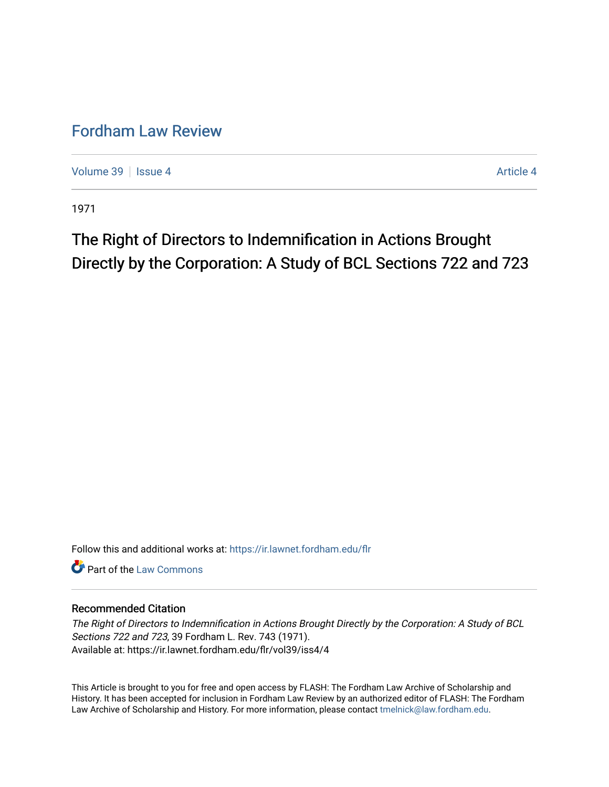# [Fordham Law Review](https://ir.lawnet.fordham.edu/flr)

[Volume 39](https://ir.lawnet.fordham.edu/flr/vol39) | [Issue 4](https://ir.lawnet.fordham.edu/flr/vol39/iss4) [Article 4](https://ir.lawnet.fordham.edu/flr/vol39/iss4/4) Article 4 Article 4 Article 4 Article 4 Article 4 Article 4

1971

# The Right of Directors to Indemnification in Actions Brought Directly by the Corporation: A Study of BCL Sections 722 and 723

Follow this and additional works at: [https://ir.lawnet.fordham.edu/flr](https://ir.lawnet.fordham.edu/flr?utm_source=ir.lawnet.fordham.edu%2Fflr%2Fvol39%2Fiss4%2F4&utm_medium=PDF&utm_campaign=PDFCoverPages)

**C** Part of the [Law Commons](http://network.bepress.com/hgg/discipline/578?utm_source=ir.lawnet.fordham.edu%2Fflr%2Fvol39%2Fiss4%2F4&utm_medium=PDF&utm_campaign=PDFCoverPages)

## Recommended Citation

The Right of Directors to Indemnification in Actions Brought Directly by the Corporation: A Study of BCL Sections 722 and 723, 39 Fordham L. Rev. 743 (1971). Available at: https://ir.lawnet.fordham.edu/flr/vol39/iss4/4

This Article is brought to you for free and open access by FLASH: The Fordham Law Archive of Scholarship and History. It has been accepted for inclusion in Fordham Law Review by an authorized editor of FLASH: The Fordham Law Archive of Scholarship and History. For more information, please contact [tmelnick@law.fordham.edu](mailto:tmelnick@law.fordham.edu).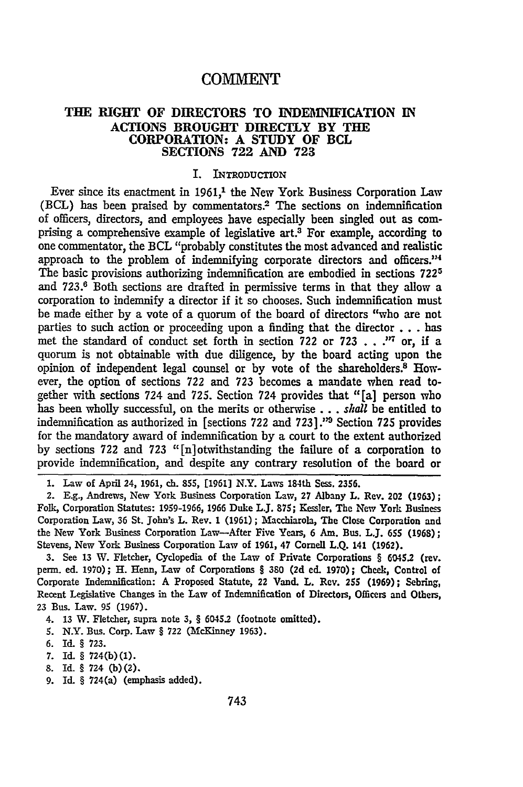## **COMMENT**

#### **THE RIGHT OF DIRECTORS TO INDEMNIFICATION IN ACTIONS BROUGHT DIRECTLY BY THE CORPORATION: A STUDY OF BCL SECTIONS 722 AND 723**

#### I. INTRODUCTION

Ever since its enactment in 1961,<sup>1</sup> the New York Business Corporation Law (BCL) has been praised by commentators.<sup>2</sup> The sections on indemnification of officers, directors, and employees have especially been singled out as comprising a comprehensive example of legislative art.3 For example, according to one commentator, the BCL "probably constitutes the most advanced and realistic approach to the problem of indemnifying corporate directors and officers."<sup>4</sup> The basic provisions authorizing indemnification are embodied in sections **7225** and **723. <sup>6</sup>**Both sections are drafted in permissive terms in that they allow a corporation to indemnify a director if it so chooses. Such indemnification must be made either by a vote of a quorum of the board of directors "who are not parties to such action or proceeding upon a finding that the director **...** has met the standard of conduct set forth in section 722 or 723 . . .<sup>17</sup> or, if a quorum is not obtainable with due diligence, by the board acting upon the opinion of independent legal counsel or by vote of the shareholders.<sup>8</sup> However, the option of sections **722** and 723 becomes a mandate when read together with sections 724 and 725. Section 724 provides that "[a] person who has been wholly successful, on the merits or otherwise... *shall* be entitled to indemnification as authorized in [sections 722 and **723].'\*** Section **725** provides for the mandatory award of indemnification by a court to the extent authorized by sections 722 and **723** "[n]otwithstanding the failure of a corporation to provide indemnification, and despite any contrary resolution of the board or

**1.** Law of April 24, **1961,** ch. 855, **[1961)** N.Y. Laws 184th Sess. **2356.**

2. **E.g.,** Andrews, New York Business Corporation Law, **27** Albany L. Rev. 202 (1963); Folk, Corporation Statutes: 1959-1966, 1966 Duke L.J. **875;** Kessler. The New York Business Corporation Law, **36** St. John's L. Rev. 1 (1961); Macchiarola, The Close Corporation and the New York Business Corporation Law-After Five Years, 6 Am. Bus. L.J. 655 (1968); Stevens, New York Business Corporation Law of **1961,** 47 Cornell L.Q. 141 (1962).

3. See 13 W. Fletcher, Cyclopedia of the Law of Private Corporations § 6045.2 (rev. perm. ed. 1970); H. Henn, Law of Corporations **§ 380 (2d** ed. 1970); Cheek, Control of Corporate Indemnification: A Proposed Statute, 22 Vand. L. Rev. 255 (1969); Sebring, Recent Legislative Changes in the Law of Indemnification of Directors, Officers and Others, 23 Bus. Law. 95 (1967).

- 4. 13 W. Fletcher, supra note **3, §** 6045.2 (footnote omitted).
- **S.** N.Y. Bus. Corp. Law **§ 722** (McKinney **1963).**
- **6. Id. § 723.**
- **7.** Id. § **724(b)(1).**
- **8.** Id. **§** 724 (b)(2).
- **9. Id. §** 724(a) (emphasis added).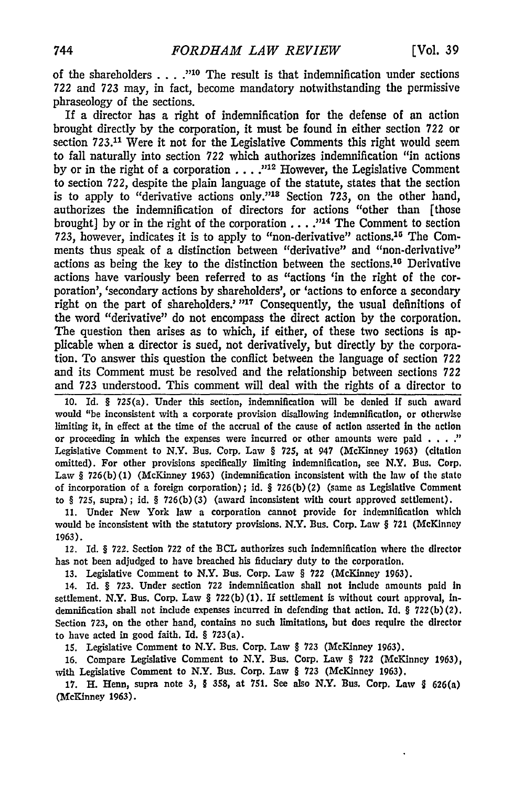of the shareholders . **. . ."10** The result is that indemnification under sections 722 and 723 may, in fact, become mandatory notwithstanding the permissive phraseology of the sections.

If a director has a right of indemnification for the defense of an action brought directly by the corporation, it must be found in either section **722** or section 723.11 Were it not for the Legislative Comments this right would seem to fall naturally into section *722* which authorizes indemnification "in actions by or in the right of a corporation **....** "12 However, the Legislative Comment to section *722,* despite the plain language of the statute, states that the section is to apply to "derivative actions only."13 Section 723, on the other hand, authorizes the indemnification of directors for actions "other than [those brought] by or in the right of the corporation **...** .<sup>,114</sup> The Comment to section 723, however, indicates it is to apply to "non-derivative" actions.<sup>15</sup> The Comments thus speak of a distinction between "derivative" and "non-derivative" actions as being the key to the distinction between the sections.<sup>10</sup> Derivative actions have variously been referred to as "actions 'in the right of the corporation', 'secondary actions by shareholders', or 'actions to enforce a secondary right on the part of shareholders.' "<sup>17</sup> Consequently, the usual definitions of the word "derivative" do not encompass the direct action by the corporation. The question then arises as to which, if either, of these two sections is **ap**plicable when a director is sued, not derivatively, but directly by the corporation. To answer this question the conflict between the language of section 722 and its Comment must be resolved and the relationship between sections *722* and **723** understood. This comment will deal with the rights of a director to

**10.** Id. § 725(a). Under this section, indemnification will be denied if such award would "be inconsistent with a corporate provision disallowing indemnification, or otherwise limiting it, in effect at the time of the accrual of the cause of action asserted in the action or proceeding in which the expenses were incurred or other amounts were paid . **.. ."** Legislative Comment to N.Y. Bus. Corp. Law § **725,** at 947 (McKinney **1963)** (citation omitted). For other provisions specifically limiting indemnification, see N.Y. Bus. Corp. Law § **726(b) (1)** (McKinney **1963)** (indemnification inconsistent with the law of the state of incorporation of a foreign corporation); id. § **726(b)** (2) (same as Legislative Comment to § **725,** supra); id. § **726(b) (3)** (award inconsistent with court approved settlement).

**11.** Under New York law a corporation cannot provide for indemnification which would be inconsistent with the statutory provisions. N.Y. Bus. Corp. Law § **721** (McKinney 1963).

12. Id. § 722. Section 722 of the BCL authorizes such indemnification where the director has not been adjudged to have breached his fiduciary duty to the corporation.

13. Legislative Comment to N.Y. Bus. Corp. Law § **722** (McKinney 1963).

14. Id. § 723. Under section **722** indemnification shall not include amounts paid In settlement. N.Y. Bus. Corp. Law § **722(b) (1). If** settlement is without court approval, Indemnification shall not include expenses incurred in defending that action. **Id.** § **722(b)** (2). Section **723,** on the other hand, contains no such limitations, but does require the director to have acted in good faith. Id. § 723(a).

**15.** Legislative Comment to N.Y. Bus. Corp. Law § **723** (McKinney **1963).**

**16.** Compare Legislative Comment to N.Y. Bus. Corp. Law § **722** (McKinney 1963), with Legislative Comment to N.Y. Bus. Corp. Law § **723** (McKinney **1963).**

**17.** H. Henn, supra note **3,** § **358,** at 751. See also N.Y. Bus. Corp. Law **9** 626(a) (McKinney **1963).**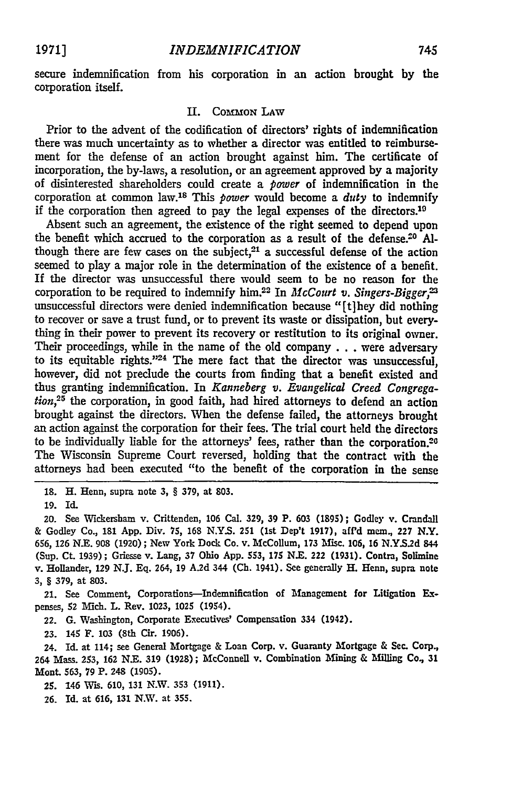secure indemnification from his corporation in an action brought **by** the corporation itself.

#### **H.** COMMON **LAW**

Prior to the advent of the codification of directors' rights of indemnification there was much uncertainty as to whether a director was entitled to reimbursement for the defense of an action brought against him. The certificate of incorporation, the by-laws, a resolution, or an agreement approved **by** a majority of disinterested shareholders could create a *power* of indemnification in the corporation at common law.<sup>18</sup> This *power* would become a *duty* to indemnify if the corporation then agreed to pay the legal expenses of the directors.10

Absent such an agreement, the existence of the right seemed to depend upon the benefit which accrued to the corporation as a result of the defense.<sup>20</sup> Although there are few cases on the subject, $21$  a successful defense of the action seemed to play a major role in the determination of the existence of a benefit. If the director was unsuccessful there would seem to be no reason for the corporation to be required to indemnify him.22 In *McCourt v. Singers-Bigger,* unsuccessful directors were denied indemnification because "[t]hey did nothing to recover or save a trust fund, or to prevent its waste or dissipation, but everything in their power to prevent its recovery or restitution to its original owner. Their proceedings, while in the name of the old company.., were adversary to its equitable rights." $24$  The mere fact that the director was unsuccessful. however, did not preclude the courts from finding that a benefit existed and thus granting indemnification. In *Kanneberg v. Evangelical Creed Congregation,25* the corporation, in good faith, had hired attorneys to defend an action brought against the directors. When the defense failed, the attorneys brought an action against the corporation for their fees. The trial court held the directors to be individually liable for the attorneys' fees, rather than the corporation.20 The Wisconsin Supreme Court reversed, holding that the contract with the attorneys had been executed "to the benefit of the corporation in the sense

18. H. Henn, supra note 3, § 379, at 803.

19. Id.

20. See Wickersham v. Crittenden, 106 Cal. 329, 39 P. 603 (1895); Godley v. Crandall & Godley Co., 181 **App.** Div. 75, **168** N.Y.S. 251 (1st Dep't 1917), afPd mem., **227** N.Y. **656, 126** N.E. **908** (1920); New York Dock Co. v. McCollum, 173 Misc. 106, 16 **N.YS.2d <sup>844</sup>** (Sup. Ct. 1939); Griesse v. Lang, 37 Ohio **App.** 553, 175 N.E. 222 (1931). Contra, Solimine v. Hollander, **129** N.J. **Eq.** 264, 19 A.2d 344 (Ch. 1941). See generally H. Henn, supra note 3, § 379, at **803.**

21. See Comment, Corporations-Indemnification of Management for Litigation Expenses, **52** MIch. L. Rev. **1023,** 1025 (1954).

22. **G.** Washington, Corporate Executives' Compensation 334 (1942).

**23.** 145 **F. 103** (8th Cir. **1906).**

24. Id. at 114; see General Mortgage & Loan Corp. v. Guaranty Mortgage & Sec. Corp., 264 Mass. 253, **162** N.E. 319 (1928); McConnell v. Combination Mining & Milling Co., **31** Mont 563, **79** P. 248 (1905).

25. 146 Wis. 610, 131 N.W. 353 (1911).

26. Id. at 616, 131 N.W. at 355.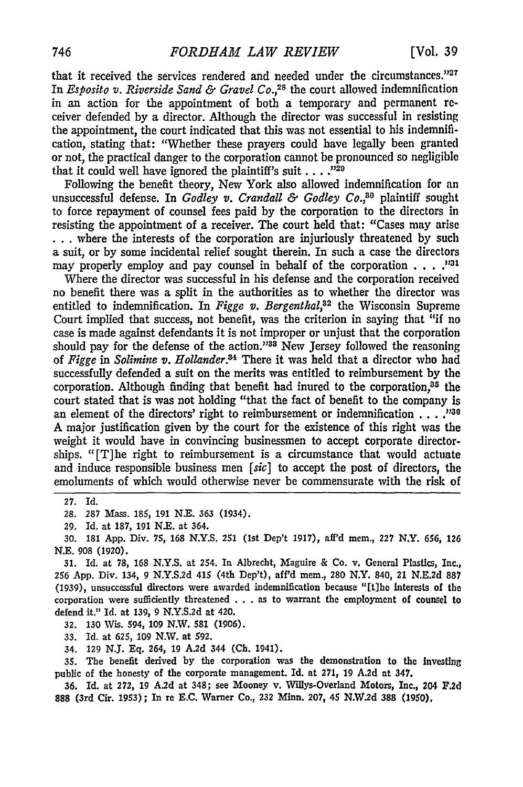that it received the services rendered and needed under the circumstances." $27$ In *Esposito v. Riverside Sand & Gravel Co.,28* the court allowed indemnification in an action for the appointment of both a temporary and permanent receiver defended by a director. Although the director was successful in resisting the appointment, the court indicated that this was not essential to his indemnification, stating that: "Whether these prayers could have legally been granted or not, the practical danger to the corporation cannot be pronounced so negligible that it could well have ignored the plaintiff's suit . . . .<sup>129</sup>

Following the benefit theory, New York also allowed indemnification for an unsuccessful defense. In *Godley v. Crandall & Godley Co.,30* plaintiff sought to force repayment of counsel fees paid by the corporation to the directors in resisting the appointment of a receiver. The court held that: "Cases may arise ... where the interests of the corporation are injuriously threatened by such a suit, or by some incidental relief sought therein. In such a case the directors may properly employ and pay counsel in behalf of the corporation . . . .<sup>1031</sup>

Where the director was successful in his defense and the corporation received no benefit there was a split in the authorities as to whether the director was entitled to indemnification. In *Figge v. Bergenthal,82* the Wisconsin Supreme Court implied that success, not benefit, was the criterion in saying that "if no case is made against defendants it is not improper or unjust that the corporation should pay for the defense of the action."<sup>33</sup> New Jersey followed the reasoning of *Figge in Solimine v. Hollander.84* There it was held that a director who had successfully defended a suit on the merits was entitled to reimbursement by the corporation. Although finding that benefit had inured to the corporation,  $a$ <sup>15</sup> the court stated that is was not holding "that the fact of benefit to the company is an element of the directors' right to reimbursement or indemnification **...**.<sup>1230</sup> A major justification given by the court for the existence of this right was the weight it would have in convincing businessmen to accept corporate directorships. "[T]he right to reimbursement is a circumstance that would actuate and induce responsible business men *[sic]* to accept the post of directors, the emoluments of which would otherwise never be commensurate with the risk of

**27. Id.**

28. **287** Mass. 185, 191 N.E. 363 (1934).

**29.** Id. at 187, 191 N.E. at 364.

*30.* **181 App.** Div. 75, **168 N.Y.S. 251** (1st Dep't **1917),** aff'd mem., **227** N.Y. 656, **126** N.E. **908 (1920).**

31. Id. at 78, 168 N.Y.S. at 254. In Albrecht, Maguire & Co. v. General Plastics, Inc., 256 App. Div. 134, 9 N.Y.S.2d 415 (4th Dep't), aff'd mem., **280** N.Y. 840, 21 N.E.2d 887 (1939), unsuccessful directors were awarded indemnification because "[tlbe interests of the corporation were sufficiently threatened . . . as to warrant the employment of counsel to defend it." Id. at 139, 9 N.Y.S.2d at 420.

32. 130 Wis. 594, 109 N.W. **581** (1906).

33. Id. at 625, 109 N.W. at 592.

34. **129 N.J. Eq.** 264, **19 A.2d** 344 **(Ch.** 1941).

35. The benefit derived **by** the corporation was the demonstration to the Investing public of the honesty of the corporate management. **Id.** at 271, 19 **A.2d** at 347.

**36.** Id. at 272, 19 A.2d at 348; see Mooney v. Willys-Overland Motors, Inc., 204 **F.2d 888** (3rd Cir. 1953); In re **E.C.** Warner Co., **232** Minn. **207,** 45 **N.W.2d** 388 **(1950).**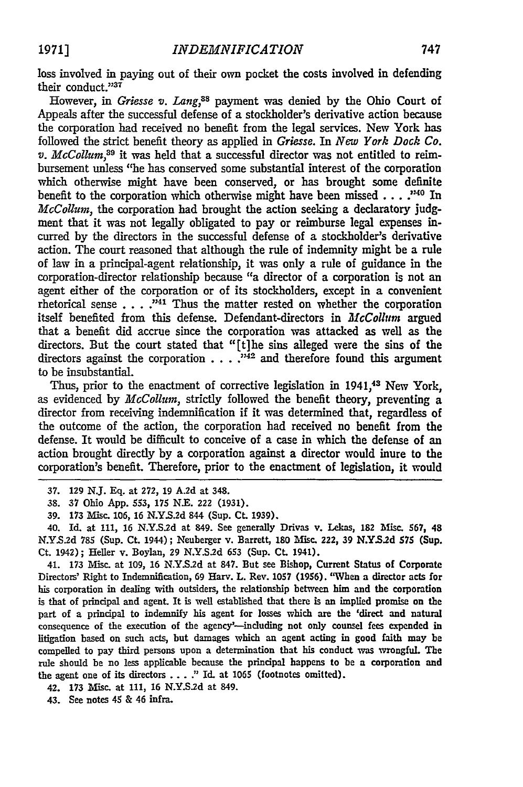loss involved in paying out of their own pocket the costs involved in defending their conduct."37

However, in *Griesse v. Lang,88* payment was denied by the Ohio Court of Appeals after the successful defense of a stockholder's derivative action because the corporation had received no benefit from the legal services. New York has followed the strict benefit theory as applied in *Griesse. In New York Dock Co. v. McColluM,89* it was held that a successful director was not entitled to reimbursement unless "he has conserved some substantial interest of the corporation which otherwise might have been conserved, or has brought some definite benefit to the corporation which otherwise might have been missed  $\dots$ .  $\cdot$  <sup>140</sup> In *McCollum*, the corporation had brought the action seeking a declaratory judgment that it was not legally obligated to pay or reimburse legal expenses incurred by the directors in the successful defense of a stockholder's derivative action. The court reasoned that although the rule of indemnity might be a rule of law in a principal-agent relationship, it was only a rule of guidance in the corporation-director relationship because "a director of a corporation is not an agent either of the corporation or of its stockholders, except in a convenient rhetorical sense **. .** . **2 11** Thus the matter rested on whether the corporation itself benefited from this defense. Defendant-directors in *McCollum* argued that a benefit did accrue since the corporation was attacked as well as the directors. But the court stated that "[t]he sins alleged were the sins of the directors against the corporation  $\ldots$ .  $\ldots$  <sup>342</sup> and therefore found this argument to be insubstantial.

Thus, prior to the enactment of corrective legislation in 1941,<sup>43</sup> New York, as evidenced by *McCollum,* strictly followed the benefit theory, preventing a director from receiving indemnification if it was determined that, regardless of the outcome of the action, the corporation had received no benefit from the defense. It would be difficult to conceive of a case in which the defense of an action brought directly by a corporation against a director would inure to the corporation's benefit. Therefore, prior to the enactment of legislation, it would

40. **Id.** at 111, 16 N.Y.S.2d at 849. See generally Drivas v. Lekas, 182 Misc. **567,** 48 **N.Y.S.2d 785** (Sup. Ct. 1944); Neuberger v. Barrett, **180** Misc. 222, 39 **N.YS.2d 575** (Sup. Ct. 1942); Heller v. Boylan, **29** N.Y.S.2d **653** (Sup. **CL** 1941).

41. **173** Misc. at **109, 16** N.Y.S.2d at 847. But see Bishop, Current Status of Corporate Directors' Right to Indemnification, 69 Harv. L. Rev. **1057 (1956).** "When a director acts for his corporation in dealing with outsiders, the relationship between him and the corporation is that of principal and agent. It is well established that there is an implied promise on the part of a principal to indemnify his agent for losses which are the 'direct and natural consequence of the execution of the agency'-including not only counsel fees expended in litigation based on such acts, but damages which an agent acting in good faith may be compelled to pay third persons upon a determination that his conduct was wrongful. The rule should be no less applicable because the principal happens to be a corporation and the agent one of its directors .**..** ." Id. at 1065 (footnotes omitted).

42. **173** Misc. at **111,** 16 N.Y.S.2d at 849.

43. See notes 45 & 46 infra.

**<sup>37.</sup>** 129 N.J. Eq. at **272,** 19 A.2d at 348.

**<sup>38. 37</sup>** Ohio App. **553, 175** N.E. 222 **(1931).**

**<sup>39. 173</sup>** Misc. **106,** 16 **N.Y.S.2d** 844 (Sup. **CL** 1939).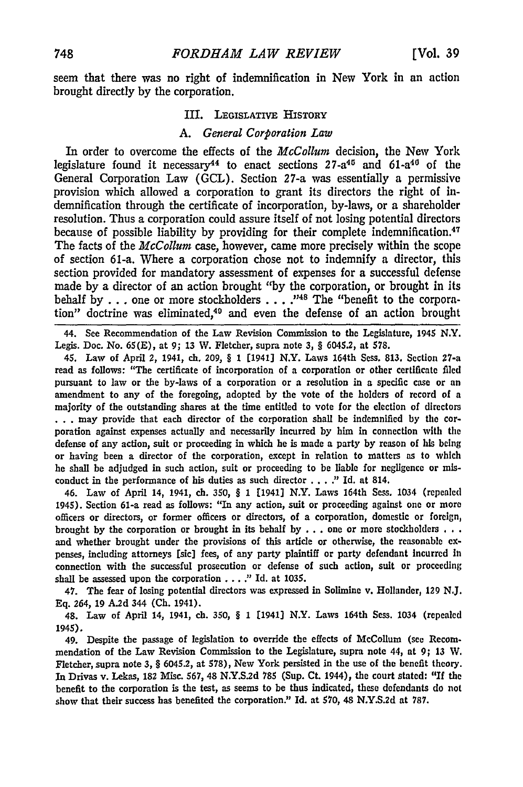seem that there was no right of indemnification in New York in an action brought directly by the corporation.

#### III. LEGISLATIVE HISTORY

#### *A. General Corporation Law*

In order to overcome the effects of the *McCollum* decision, the New York legislature found it necessary<sup>44</sup> to enact sections  $27 - a^{45}$  and  $61 - a^{40}$  of the General Corporation Law (GCL). Section 27-a was essentially a permissive provision which allowed a corporation to grant its directors the right of indemnification through the certificate of incorporation, by-laws, or a shareholder resolution. Thus a corporation could assure itself of not losing potential directors because of possible liability by providing for their complete indemnification.<sup>47</sup> The facts of the *McCollum* case, however, came more precisely within the scope of section 61-a. Where a corporation chose not to indemnify a director, this section provided for mandatory assessment of expenses for a successful defense made by a director of an action brought "by the corporation, or brought in its behalf by ... one or more stockholders .... **148** The "benefit to the corporation" doctrine was eliminated,<sup>49</sup> and even the defense of an action brought

44. See Recommendation of the Law Revision Commission to the Legislature, 1945 N.Y. Legis. Doc. No. **65(E),** at **9; 13** W. Fletcher, supra note **3,** § 6045.2, at 578.

45. Law of April 2, 1941, ch. **209,** § **1** [1941] N.Y. Laws 164th Sess. **813.** Section 27-a read as follows: "The certificate of incorporation of a corporation or other certificate **filed** pursuant to law or the by-laws of a corporation or a resolution in a specific case or an amendment to any of the foregoing, adopted **by** the vote of the holders of record of a majority of the outstanding shares at the time entitled to vote for the election of directors **.. .** may provide that each director of the corporation shall be indemnified **by** the corporation against expenses actually and necessarily incurred **by** him in connection with **the** defense of any action, suit or proceeding in which he is made a party **by** reason of his being or having been a director of the corporation, except in relation to matters **as** to which he shall **be** adjudged in such action, suit or proceeding to be liable for negligence or misconduct in the performance of his duties as such director **. . . ."** Id. at 814.

46. Law of April 14, 1941, ch. **350,** § 1 [1941] N.Y. Laws 164th Sess. 1034 (repealed 1945). Section 61-a read as follows: "In any action, suit or proceeding against one or more officers or directors, or former officers or directors, of a corporation, domestic or foreign, brought **by** the corporation or brought in its behalf **by . . .** one or more stockholders **.. .** and whether brought under the provisions of this article or otherwise, the reasonable expenses, including attorneys [sic] fees, of any party plaintiff or party defendant Incurred **in** connection with the successful prosecution or defense of such action, suit or proceeding shall be assessed upon the corporation **... ."** Id. at **1035.**

47. The fear of losing potential directors was expressed in Solimine v. Hollander, **129 N.J. Eq.** 264, **19 A.2d** 344 **(Ch.** 1941).

48. Law of April 14, 1941, ch. **350,** *§* **1** [1941] N.Y. Laws 164th Sess. 1034 (repealed 1945).

49. Despite the passage of legislation to override the effects of McCollum (see Recommendation of the Law Revision Commission to the Legislature, supra note 44, at 9; **13** W. Fletcher, supra note 3, § 6045.2, at 578), New York persisted in the use of the benefit theory. n Drivas v. Lekas, **182** Misc. **567,** 48 N.Y.S.2d **785** (Sup. Ct. 1944), the court stated: **"If** the benefit to the corporation is the test, as seems to be thus indicated, these defendants do not show that their success has benefited the corporation." **Id.** at **\$70,** 48 N.Y.S.2d at **787.**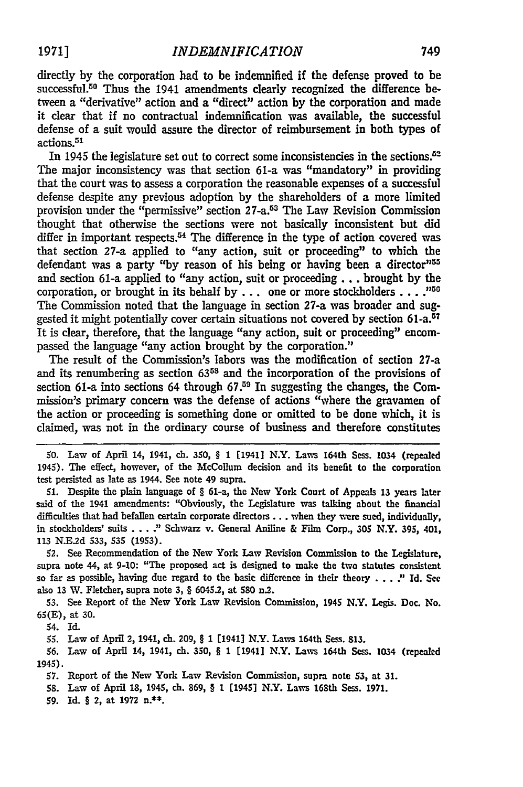directly by the corporation had to be indemnified if the defense proved to be successful.<sup>50</sup> Thus the 1941 amendments clearly recognized the difference between a "derivative" action and a "direct" action **by** the corporation and made it clear that if no contractual indemnification was available, the successful defense of a suit would assure the director of reimbursement in both types of actions.51

In 1945 the legislature set out to correct some inconsistencies in the sections.<sup>52</sup> The major inconsistency was that section 61-a was "mandatory" in providing that the court was to assess a corporation the reasonable expenses of a successful defense despite any previous adoption by the shareholders of a more limited provision under the "permissive" section 27-a.53 The Law Revision Commission thought that otherwise the sections were not basically inconsistent but did differ in important respects.<sup>54</sup> The difference in the type of action covered was that section 27-a applied to "any action, suit or proceeding" to which the defendant was a party "by reason of his being or having been a director"<sup>55</sup> and section 61-a applied to "any action, suit or proceeding... brought by the corporation, or brought in its behalf by... one or more stockholders **.... .5** The Commission noted that the language in section 27-a was broader and suggested it might potentially cover certain situations not covered by section 61-a.<sup>57</sup> It is dear, therefore, that the language "any action, suit or proceeding" encompassed the language "any action brought by the corporation."

The result of the Commission's labors was the modification of section 27-a and its renumbering as section **6358** and the incorporation of the provisions of section 61-a into sections 64 through 67.<sup>59</sup> In suggesting the changes, the Commission's primary concern was the defense of actions "where the gravamen of the action or proceeding is something done or omitted to be done which, it is claimed, was not in the ordinary course of business and therefore constitutes

**50.** Law of April 14, 1941, ch. 350, § **1** [1941] N.Y. Laws 164th Sess. 1034 (repealed 1945). The effect, however, of the McCollum decision and its benefit to the corporation test persisted as late as 1944. See note 49 supra.

**51.** Despite the plain language of § 61-a, the New York Court of Appeals 13 years later said of the 1941 amendments: "Obviously, the Legislature was talking about the financial difficulties that had befallen certain corporate directors.. **.** when they were sued, individually, in stockholders' suits **... .'** Schwarz v. General Aniline **&** Film Corp., *305* N.Y. 395, 401, **113** N.E.2d 533, **S35 (1953).**

52. See Recommendation of the New York Law Revision Commission to the Legislature, supra note 44, at **9-10:** "The proposed act is designed to make the two statutes consistent so far as possible, having due regard to the basic difference in their theory ... ." **Id. See** also **13** W. Fletcher, supra note 3, § 6045.2, at **580** n.2.

**53.** See Report of the New York Law Revision Commission, 1945 N.Y. Legis. Doc. No. **65(E),** at **30.**

54. Id.

**55.** Law of April 2, 1941, ch. 209, § **1** [1941] N.Y. Laws 164th Sess. **813.**

**56.** Law of April 14, 1941, ch. **350,** § 1 [1941] N.Y. Laws 164th Sess. 1034 (repealed 1945).

**57.** Report of the New York Law Revision Commission, **supra** note **53,** at **31.**

58. Law of April **18,** 1945, ch. **869,** § **1** [1945] N.Y. Laws 168th Sess. **1971.**

**59.** Id. **§** 2, at **1972** n.\*\*.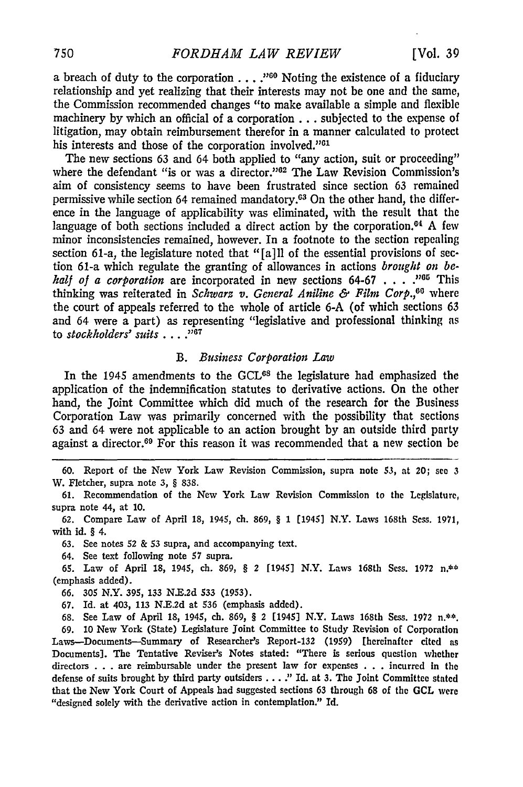a breach of duty to the corporation . . . . "<sup>60</sup> Noting the existence of a fiduciary relationship and yet realizing that their interests may not be one and the same, the Commission recommended changes "to make available a simple and flexible machinery by which an official of a corporation.., subjected to the expense of litigation, may obtain reimbursement therefor in a manner calculated to protect his interests and those of the corporation involved."<sup>61</sup>

The new sections 63 and 64 both applied to "any action, suit or proceeding" where the defendant "is or was a director."<sup>02</sup> The Law Revision Commission's aim of consistency seems to have been frustrated since section 63 remained permissive while section 64 remained mandatory.<sup>63</sup> On the other hand, the difference in the language of applicability was eliminated, with the result that the language of both sections included a direct action by the corporation.<sup>04</sup> A few minor inconsistencies remained, however. In a footnote to the section repealing section 61-a, the legislature noted that "[a] **11** of the essential provisions of section 61-a which regulate the granting of allowances in actions *brought on behalf of a corporation* are incorporated in new sections **64-67** . **. . .**"o This thinking was reiterated in *Schwarz v. General Aniline & Film Corp.,0 <sup>0</sup>*where the court of appeals referred to the whole of article 6-A (of which sections 63 and 64 were a part) as representing "legislative and professional thinking as to *stockholders' suits* . . . . "<sup>67</sup>

#### *B. Business Corporation Law*

In the 1945 amendments to the **GCL68** the legislature had emphasized the application of the indemnification statutes to derivative actions. On the other hand, the Joint Committee which did much of the research for the Business Corporation Law was primarily concerned with the possibility that sections 63 and 64 were not applicable to an action brought **by** an outside third party against a director.<sup>69</sup> For this reason it was recommended that a new section be

**60.** Report of the New York Law Revision Commission, supra note 53, at 20; see **3** W. Fletcher, supra note **3,** § 838.

61. Recommendation of the New York Law Revision Commission to the Legislature, supra note 44, at 10.

62. Compare Law of April 18, 1945, ch. 869, § 1 [1945] N.Y. Laws 168th Sess. 1971, with id. § 4.

63. See notes 52 & **53** supra, and accompanying text.

64. See text following note **57** supra.

65. Law of April **18,** 1945, ch. 869, § 2 [1945] N.Y. Laws 168th Ses. 1972 **n.\*\*** (emphasis added).

66. 305 N.Y. 395, 133 N.E.2d 533 (1953).

67. Id. at 403, 113 N.E.2d at 536 (emphasis added).

68. See Law of April 18, 1945, ch. 869, § 2 [1945] N.Y. Laws 168th Sess. 1972 n.\*\*.

69. 10 New York (State) Legislature Joint Committee to Study Revision of Corporation Laws-Documents--Summary of Researcher's Report-132 (1959) [hereinafter cited as Documents]. The Tentative Reviser's Notes stated: "There is serious question whether directors . . . are reimbursable under the present law for expenses . . . incurred in the defense of suits brought by third party outsiders **....** *1"* **Id.** at **3.** The Joint Committee stated that the New York Court of Appeals had suggested sections 63 through **68** of the **GCL** were "designed solely with the derivative action in contemplation." Id.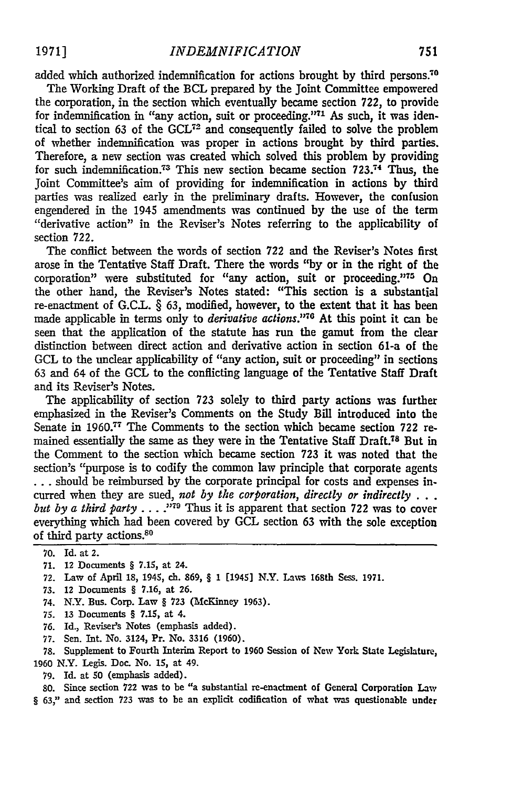added which authorized indemnification for actions brought **by** third persons.70

The Working Draft of the BCL prepared by the Joint Committee empowered the corporation, in the section which eventually became section 722, to provide for indemnification in "any action, suit or proceeding."<sup>71</sup> As such, it was identical to section **63** of the **GCL72** and consequently failed to solve the problem of whether indemnification was proper in actions brought by third parties. Therefore, a new section was created which solved this problem by providing for such indemnification.<sup>73</sup> This new section became section  $723$ .<sup>74</sup> Thus, the joint Committee's aim of providing for indemnification in actions by third parties was realized early in the preliminary drafts. However, the confusion engendered in the 1945 amendments was continued by the use of the term "derivative action" in the Reviser's Notes referring to the applicability of section 722.

The conflict between the words of section **722** and the Reviser's Notes first arose in the Tentative Staff Draft. There the words "by or in the right of the corporation" were substituted for "any action, suit or proceeding."<sup>15</sup> On the other hand, the Reviser's Notes stated: "This section is a substantial re-enactment of G.C.L. § 63, modified, however, to the extent that it has been made applicable in terms only to *derivative actions*."<sup>76</sup> At this point it can be seen that the application of the statute has run the gamut from the clear distinction between direct action and derivative action in section 61-a of the GCL to the unclear applicability of "any action, suit or proceeding" in sections 63 and 64 of the GCL to the conflicting language of the Tentative Staff Draft and its Reviser's Notes.

The applicability of section **723** solely to third party actions was further emphasized in the Reviser's Comments on the Study Bill introduced into the Senate in **1960.<sup>7</sup> <sup>7</sup>**The Comments to the section which became section **722** remained essentially the same as they were in the Tentative Staff Draft.78 But in the Comment to the section which became section **723** it was noted that the section's "purpose is to codify the common law principle that corporate agents **...** should be reimbursed by the corporate principal for costs and expenses incurred when they are sued, *not by the corporation, directly or indirectly . . . but by a third party ...* **."79** Thus it is apparent that section **722** was to cover everything which had been covered **by GCL** section 63 with the sole exception of third party actions.80

- **71.** 12 Documents § **7.15,** at 24.
- 72. Law of April 18, 1945, ch. 869, § **1** [1945] N.Y. Laws 168th Sess. 1971.
- 73. 12 Documents § **7.16,** at **26.**
- 74. N.Y. Bus. Corp. Law § 723 (McKinney 1963).
- 75. 13 Documents § 7.15, at 4.
- 76. Id., Reviser's Notes (emphasis added).
- 77. Sen. Int. No. 3124, Pr. No. 3316 (1960).

78. Supplement to Fourth Interim Report to 1960 Session of New York State Legislature, 1960 N.Y. Legis. Doc. No. 15, at 49.

79. Id. at 50 (emphasis added).

**80.** Since section **722** was to be "a substantial re-enactment of General Corporation Law § **63,"** and section **723** was to be an explicit codification of what was questionable under

**<sup>70.</sup>** Id. at 2.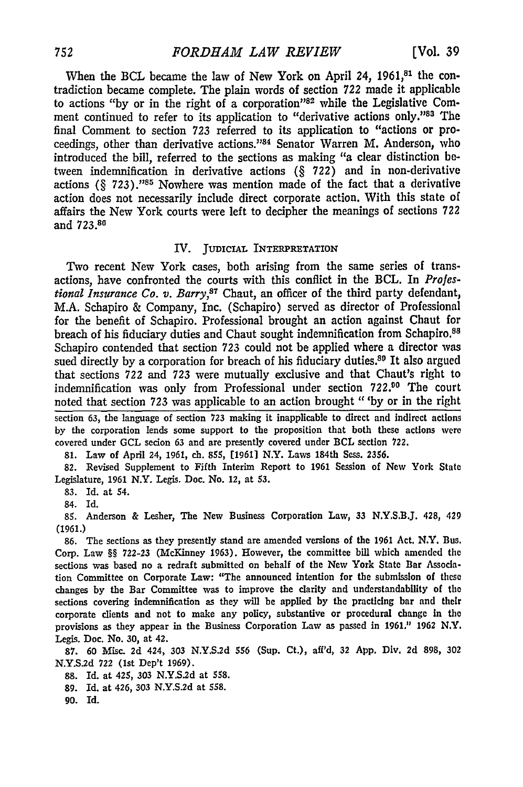When the BCL became the law of New York on April 24, 1961,<sup>81</sup> the contradiction became complete. The plain words of section *722* made it applicable to actions "by or in the right of a corporation"82 while the Legislative Comment continued to refer to its application to "derivative actions only."83 The final Comment to section 723 referred to its application to "actions or proceedings, other than derivative actions. '84 Senator Warren M. Anderson, who introduced the bill, referred to the sections as making "a clear distinction between indemnification in derivative actions (§ 722) and in non-derivative actions  $(\S 723)$ .<sup>185</sup> Nowhere was mention made of the fact that a derivative action does not necessarily include direct corporate action. With this state of affairs the New York courts were left to decipher the meanings of sections 722 and **723.88**

#### IV. JUDICIAL INTERPRETATION

Two recent New York cases, both arising from the same series of transactions, have confronted the courts with this conflict in the BCL. In *Prolestional Insurance Co. v. Barry*,<sup>87</sup> Chaut, an officer of the third party defendant, M.A. Schapiro & Company, Inc. (Schapiro) served as director of Professional for the benefit of Schapiro. Professional brought an action against Chaut for breach of his fiduciary duties and Chaut sought indemnification from Schapiro.<sup>88</sup> Schapiro contended that section **723** could not be applied where a director was sued directly by a corporation for breach of his fiduciary duties.<sup>80</sup> It also argued that sections *722* and **723** were mutually exclusive and that Chaut's right to indemnification was only from Professional under section **722.00** The court noted that section **723** was applicable to an action brought "'by or in the right

section **63,** the language of section **723** making it inapplicable to direct and indirect actions **by** the corporation lends some support to the proposition that both these actions were covered under **GCL** secion 63 and are presently covered under BCL section **722.**

**81.** Law of April 24, **1961, ch. 855, E19611** N.Y. Laws 184th Sess. **2356.**

**82.** Revised Supplement to Fifth Interim Report to 1961 Session of New York State Legislature, 1961 N.Y. Legis. Doc. No. 12, at **53.**

**83.** Id. at 54.

84. Id.

**85.** Anderson **&** Lesher, The New Business Corporation Law, 33 N.Y.S.B.J. 428, 429 **(1961.)**

**86.** The sections as they presently stand are amended versions of the 1961 Act. N.Y. Bus. Corp. Law §§ **722-23** (McKinney **1963).** However, the committee **bill** which **amended** the sections was based no a redraft submitted on behalf of the New York State Bar Association Committee on Corporate Law: "The announced intention for the submission of these changes **by** the Bar Committee was to improve the clarity and understandability of the sections covering indemnification as they will be applied **by** the practicing bar and their corporate clients and not to make any policy, substantive or procedural change In the provisions as they appear in the Business Corporation Law as passed in **1961."** 1962 **N.Y.** Legis. Doc. No. **30,** at 42.

**87. 60** Misc. **2d** 424, **303 N.Y.S.2d 556** (Sup. **Ct.), aft'd, 32 App.** Div. **2d 898, 302 N.Y.S.2d 722** (1st Dep't **1969).**

**88.** Id. at 425, **303 N.Y.S.2d** at **558.**

**89. Id.** at 426, **303 N.Y.S.2d** at **558.**

**90.** Id.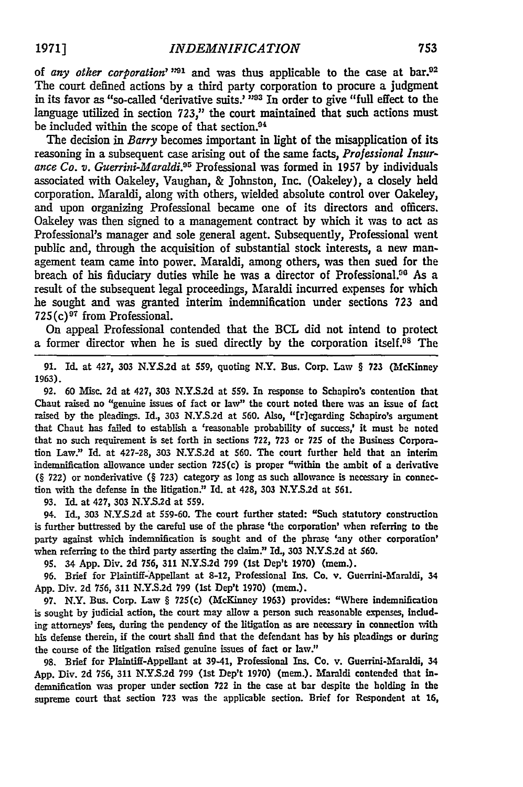of *any other corporation'* <sup>1921</sup> and was thus applicable to the case at bar.<sup>02</sup> The court defined actions by a third party corporation to procure a judgment in its favor as "so-called 'derivative suits.' <sup>103</sup> In order to give "full effect to the language utilized in section 723," the court maintained that such actions must be included within the scope of that section.<sup>94</sup>

The decision in *Barry* becomes important in light of the misapplication of its reasoning in a subsequent case arising out of the same facts, *Professional Insurance Co. v. Guerrini-Maraldi. <sup>9</sup> <sup>5</sup>*Professional was formed in 1957 **by** individuals associated with Oakeley, Vaughan, & Johnston, Inc. (Oakeley), a closely held corporation. Maraldi, along with others, wielded absolute control over Oakeley, and upon organizing Professional became one of its directors and officers. Oakeley was then signed to a management contract by which it was to act as Professional's manager and sole general agent. Subsequently, Professional went public and, through the acquisition of substantial stock interests, a new management team came into power. Maraldi, among others, was then sued for the breach of his fiduciary duties while he was a director of Professional.<sup>96</sup> As a result of the subsequent legal proceedings, Maraldi incurred expenses for which he sought and was granted interim indemnification under sections **723** and  $725(c)^{97}$  from Professional.

On appeal Professional contended that the BCL did not intend to protect a former director when he is sued directly by the corporation itself.<sup>08</sup> The

91. Id. at 427, 303 **N.YS.2d** at 559, quoting N.Y. Bus. Corp. Law § **723** (McKinney **1963).**

92. **60** Misc. 2d at 427, **303 N.Y.S.2d** at **559.** In response to Schapiro's contention that Chaut raised no "genuine issues of fact or law" the court noted there was an issue of fact raised by the pleadings. Id., 303 N.Y.S.2d at **560.** Also, "[r]egarding Schapiro's argument that Chaut has failed to establish a 'reasonable probability of success,' it must be noted that no such requirement is set forth in sections 722, **723** or 725 of the Business Corporation Law." Id. at **427-28,** 303 **N.Y.S.2d** at 560. The court further held that an interim indemnification allowance under section 725(c) is proper "within the ambit of a derivative **(§ 722)** or nonderivative **(§** 723) category as long as such allowance is necessary in connection with the defense in the litigation." Id. at 428, **303 N.Y.S.2d** at **561.**

**93.** Id. at 427, **303 N.Y.S.2d** at **559.**

94. Id., **303 N.Y..2d** at **S59-60.** The court further stated: "Such statutory construction is further buttressed **by** the careful use of the phrase 'the corporation' when referring to the party against which indemnification is sought and of the phrase 'any other corporation' when referring to the third party asserting the claim." Id., **303 N.YS.2d** at **560.**

**95.** 34 **App.** Div. **2d 756, 311 N.Y.S.2d 799** (1st Dep't **1970)** (mem.).

**96.** Brief for Plaintiff-Appellant at **8-12,** Professional Ins. Co. v. Guerrini-Maraldi, 34 **App.** Div. **2d 756, 311 N.Y.S.2d 799** (1st Dep't **1970)** (mem.).

**97.** N.Y. Bus. Corp. Law § 725(c) (McKinney **1963)** provides: "Where indemnification is sought **by** judicial action, the court may allow a person such reasonable expenses, including attorneys' fees, during the pendency of the litigation as are necessary in connection with his defense therein, if the court shall find that the defendant has **by** his pleadings or during the course of the litigation raised genuine issues of fact or law."

**98.** Brief for Plaintiff-Appellant at 39-41, Professional Ins. Co. v. Guerrini-Maraldi, 34 **App.** Div. **2d 756, 311 N.YS.2d 799** (1st Dep't **1970)** (mem.). Maraldi contended that indemnification was proper under section **722** in the case at bar despite the holding in the supreme court that section **723** was the applicable section. Brief for Respondent at **16,**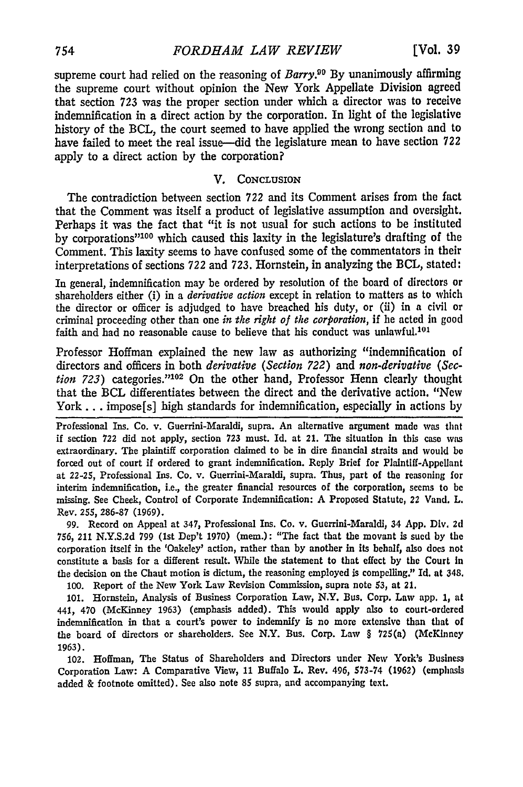supreme court had relied on the reasoning of *Barry.99* **By** unanimously affirming the supreme court without opinion the New York Appellate Division agreed that section 723 was the proper section under which a director was to receive indemnification in a direct action by the corporation. In light of the legislative history of the BCL, the court seemed to have applied the wrong section and to have failed to meet the real issue-did the legislature mean to have section **722** apply to a direct action by the corporation?

#### V. **CONCLUSION**

The contradiction between section 722 and its Comment arises from the fact that the Comment was itself a product of legislative assumption and oversight. Perhaps it was the fact that "it is not usual for such actions to be instituted by corporations<sup>" 100</sup> which caused this laxity in the legislature's drafting of the Comment. This laxity seems to have confused some of the commentators in their interpretations of sections 722 and 723. Hornstein, in analyzing the BCL, stated:

In general, indemnification may be ordered by resolution of the board of directors or shareholders either (i) in a *derivative action* except in relation to matters as to which the director or officer is adjudged to have breached his duty, or (ii) in a civil or criminal proceeding other than one *in the right of the corporation,* if he acted in good faith and had no reasonable cause to believe that his conduct was unlawful.<sup>101</sup>

Professor Hoffman explained the new law as authorizing "indemnification of directors and officers in both *derivative (Section 722) and non-derivative (Section 723*) categories."<sup>102</sup> On the other hand, Professor Henn clearly thought that the BCL differentiates between the direct and the derivative action. "New York... impose[s] high standards for indemnification, especially in actions by

Professional Ins. Co. v. Guerrini-Maraldi, supra. An alternative argument made was that if section **722** did not apply, section **723** must. Id. at 21. The situation in this case was extraordinary. The plaintiff corporation claimed to be in dire financial straits and would be forced out of court if ordered to grant indemnification. Reply Brief for Plaintiff-Appellant at 22-25, Professional Ins. Co. v. Guerrini-Maraldi, supra. Thus, part of the reasoning for interim indemnification, i.e., the greater financial resources of the corporation, seems to **be** missing. See Cheek, Control of Corporate Indemnification: **A** Proposed Statute, 22 Vand. L. Rev. **255, 286-87 (1969).**

**99.** Record on Appeal at 347, Professional Ins. Co. v. Guerrini-Maraldi, 34 **App.** Div. **2d 756,** 211 **N.Y.S.2d 799** (1st Dep't **1970)** (mem.): "The fact that the movant is sued **by** the corporation itself in the 'Oakeley' action, rather than **by** another in its behalf, also does not constitute a basis for a different result. While the statement to that effect **by** the Court In the decision on the Chant motion is dictum, the reasoning employed is compelling." Id. at 348. **100.** Report of the New York Law Revision Commission, supra note 53, at 21.

**101.** Hornstein, Analysis of Business Corporation Law, N.Y. Bus. Corp. Law app. **1,** at 441, 470 (McKinney **1963)** (emphasis added). This would apply also to court-ordered indemnification in that a court's power to indemnify is no more extensive than that of the board of directors or shareholders. See N.Y. Bus. Corp. Law § 725(a) (McKinney 1963).

102. Hoffman, The Status of Shareholders and Directors under New York's Business Corporation Law: A Comparative View, 11 Buffalo L. Rev. 496, **573-74** (1962) (emphasis added **&** footnote omitted). See also note **85** supra, and accompanying text.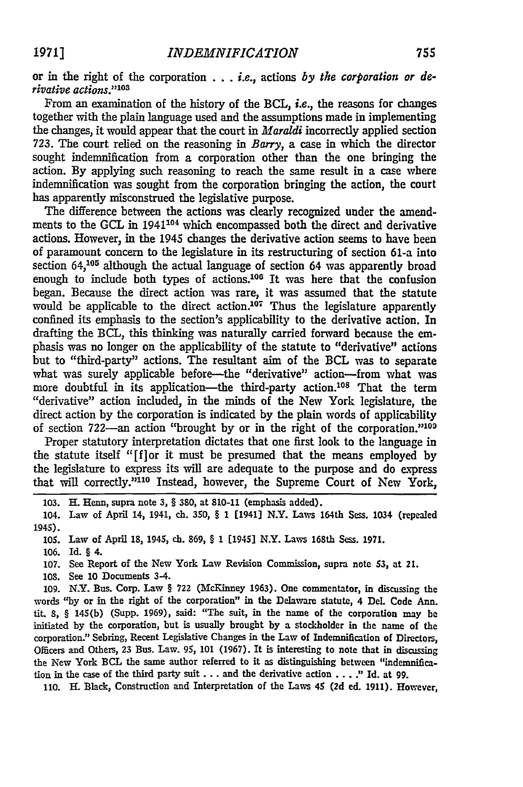or in the right of the corporation **. . .** i.e., actions *by the corporation or derivative actions."10 <sup>3</sup>*

From an examination of the history **of** the BCL, *i.e.,* the reasons for changes together with the plain language used and the assumptions made in implementing the changes, it would appear that the court in *Maraldi* incorrectly applied section 723. The court relied on the reasoning in *Barry,* a case in which the director sought indemnification from a corporation other than the one bringing the action. **By** applying such reasoning to reach the same result in a case where indemnification was sought from the corporation bringing the action, the court has apparently misconstrued the legislative purpose.

The difference between the actions was dearly recognized under the amendments to the **GCL** in 1941104 which encompassed both the direct and derivative actions. However, in the 1945 changes the derivative action seems to have been of paramount concern to the legislature in its restructuring of section 61-a into section 64,105 although the actual language of section 64 was apparently broad enough to include both types of actions.<sup>106</sup> It was here that the confusion began. Because the direct action was rare, it was assumed that the statute would be applicable to the direct action.<sup>107</sup> Thus the legislature apparently confined its emphasis to the section's applicability to the derivative action. In drafting the BCL, this thinking was naturally carried forward because the emphasis was no longer on the applicability of the statute to "derivative" actions but to "third-party" actions. The resultant aim of the BCL was to separate what was surely applicable before-the "derivative" action-from what was more doubtful in its application-the third-party action.<sup>108</sup> That the term "derivative" action included, in the minds of the New York legislature, the direct action by the corporation is indicated by the plain words of applicability of section 722-an action "brought by or in the right of the corporation."<sup>103</sup>

Proper statutory interpretation dictates that one first look to the language in the statute itself "[flor it must be presumed that the means employed by the legislature to express its will are adequate to the purpose and do express that will correctly."110 Instead, however, the Supreme Court of New York,

**106.** Id. § 4.

107. See Report of the New York Law Revision Commision, supra note *53,* at 21.

**108.** See **10** Documents 3-4.

**109.** N.Y. Bus. Corp. Law § 722 (McKinney **1963).** One commentator, in discussing the words **"by** or in the right of the corporation" in the Delaware statute, 4 Del. Code Ann. tit. **8,** § 145(b) (Supp. **1969),** said: "The suit, in the name of the corporation may be initiated **by** the corporation, but is usually brought **by** a stockholder in the name of the corporation." Sebring, Recent Legislative Changes in the Law of Indemnification of Directors, Officers and Others, **23** Bus. Law. **95, 101 (1967).** It is interesting to note that in discussing the New York BCL the same author referred to it as distinguishing between "indemnification in the case of the third party suit **...** and the derivative action **....** " Id. at **99.**

110. H. Black, Construction and Interpretation of the Laws 45 (2d ed. 1911). However,

<sup>103.</sup> H. Henn, supra note **3,** § 380, at 810-11 (emphasis added).

<sup>104.</sup> Law of April 14, 1941, ch. **350,** § **1** [1941] N.Y. Laws 164th Sess. 1034 (repealed 1945).

**<sup>105.</sup>** Law of April **18,** 1945, **ch. 869,** § **1** [1945] N.Y. Laws 168th Sess. **1971.**